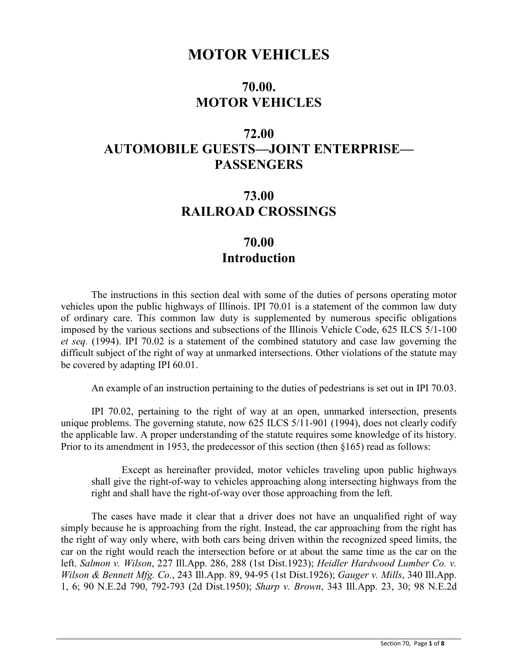## **MOTOR VEHICLES**

## **70.00. MOTOR VEHICLES**

# **72.00 AUTOMOBILE GUESTS—JOINT ENTERPRISE— PASSENGERS**

## **73.00 RAILROAD CROSSINGS**

## **70.00 Introduction**

The instructions in this section deal with some of the duties of persons operating motor vehicles upon the public highways of Illinois. IPI 70.01 is a statement of the common law duty of ordinary care. This common law duty is supplemented by numerous specific obligations imposed by the various sections and subsections of the Illinois Vehicle Code, 625 ILCS 5/1-100 *et seq.* (1994). IPI 70.02 is a statement of the combined statutory and case law governing the difficult subject of the right of way at unmarked intersections. Other violations of the statute may be covered by adapting IPI 60.01.

An example of an instruction pertaining to the duties of pedestrians is set out in IPI 70.03.

IPI 70.02, pertaining to the right of way at an open, unmarked intersection, presents unique problems. The governing statute, now 625 ILCS 5/11-901 (1994), does not clearly codify the applicable law. A proper understanding of the statute requires some knowledge of its history. Prior to its amendment in 1953, the predecessor of this section (then §165) read as follows:

Except as hereinafter provided, motor vehicles traveling upon public highways shall give the right-of-way to vehicles approaching along intersecting highways from the right and shall have the right-of-way over those approaching from the left.

The cases have made it clear that a driver does not have an unqualified right of way simply because he is approaching from the right. Instead, the car approaching from the right has the right of way only where, with both cars being driven within the recognized speed limits, the car on the right would reach the intersection before or at about the same time as the car on the left. *Salmon v. Wilson*, 227 Ill.App. 286, 288 (1st Dist.1923); *Heidler Hardwood Lumber Co. v. Wilson & Bennett Mfg. Co.*, 243 Ill.App. 89, 94-95 (1st Dist.1926); *Gauger v. Mills*, 340 Ill.App. 1, 6; 90 N.E.2d 790, 792-793 (2d Dist.1950); *Sharp v. Brown*, 343 Ill.App. 23, 30; 98 N.E.2d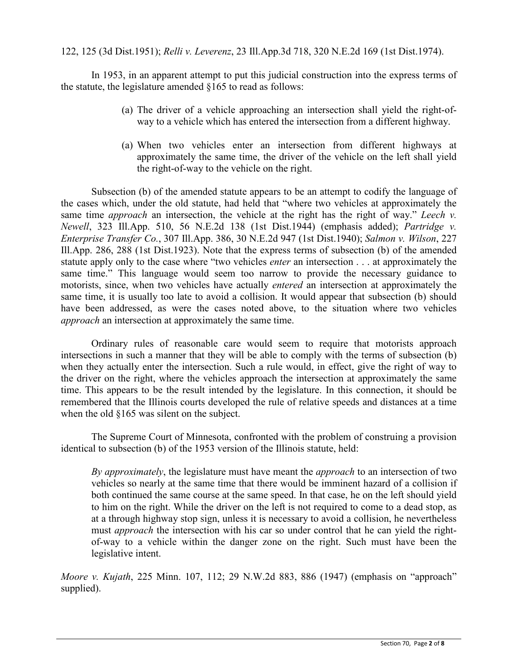122, 125 (3d Dist.1951); *Relli v. Leverenz*, 23 Ill.App.3d 718, 320 N.E.2d 169 (1st Dist.1974).

In 1953, in an apparent attempt to put this judicial construction into the express terms of the statute, the legislature amended §165 to read as follows:

- (a) The driver of a vehicle approaching an intersection shall yield the right-ofway to a vehicle which has entered the intersection from a different highway.
- (a) When two vehicles enter an intersection from different highways at approximately the same time, the driver of the vehicle on the left shall yield the right-of-way to the vehicle on the right.

Subsection (b) of the amended statute appears to be an attempt to codify the language of the cases which, under the old statute, had held that "where two vehicles at approximately the same time *approach* an intersection, the vehicle at the right has the right of way." *Leech v. Newell*, 323 Ill.App. 510, 56 N.E.2d 138 (1st Dist.1944) (emphasis added); *Partridge v. Enterprise Transfer Co.*, 307 Ill.App. 386, 30 N.E.2d 947 (1st Dist.1940); *Salmon v. Wilson*, 227 Ill.App. 286, 288 (1st Dist.1923). Note that the express terms of subsection (b) of the amended statute apply only to the case where "two vehicles *enter* an intersection . . . at approximately the same time." This language would seem too narrow to provide the necessary guidance to motorists, since, when two vehicles have actually *entered* an intersection at approximately the same time, it is usually too late to avoid a collision. It would appear that subsection (b) should have been addressed, as were the cases noted above, to the situation where two vehicles *approach* an intersection at approximately the same time.

Ordinary rules of reasonable care would seem to require that motorists approach intersections in such a manner that they will be able to comply with the terms of subsection (b) when they actually enter the intersection. Such a rule would, in effect, give the right of way to the driver on the right, where the vehicles approach the intersection at approximately the same time. This appears to be the result intended by the legislature. In this connection, it should be remembered that the Illinois courts developed the rule of relative speeds and distances at a time when the old §165 was silent on the subject.

The Supreme Court of Minnesota, confronted with the problem of construing a provision identical to subsection (b) of the 1953 version of the Illinois statute, held:

*By approximately*, the legislature must have meant the *approach* to an intersection of two vehicles so nearly at the same time that there would be imminent hazard of a collision if both continued the same course at the same speed. In that case, he on the left should yield to him on the right. While the driver on the left is not required to come to a dead stop, as at a through highway stop sign, unless it is necessary to avoid a collision, he nevertheless must *approach* the intersection with his car so under control that he can yield the rightof-way to a vehicle within the danger zone on the right. Such must have been the legislative intent.

*Moore v. Kujath*, 225 Minn. 107, 112; 29 N.W.2d 883, 886 (1947) (emphasis on "approach" supplied).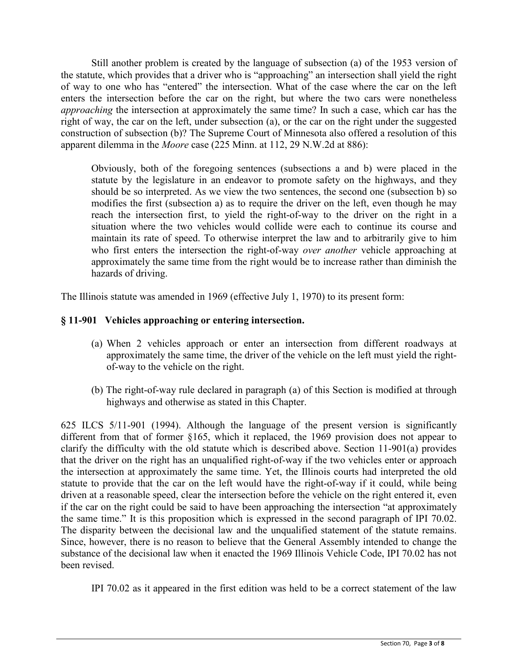Still another problem is created by the language of subsection (a) of the 1953 version of the statute, which provides that a driver who is "approaching" an intersection shall yield the right of way to one who has "entered" the intersection. What of the case where the car on the left enters the intersection before the car on the right, but where the two cars were nonetheless *approaching* the intersection at approximately the same time? In such a case, which car has the right of way, the car on the left, under subsection (a), or the car on the right under the suggested construction of subsection (b)? The Supreme Court of Minnesota also offered a resolution of this apparent dilemma in the *Moore* case (225 Minn. at 112, 29 N.W.2d at 886):

Obviously, both of the foregoing sentences (subsections a and b) were placed in the statute by the legislature in an endeavor to promote safety on the highways, and they should be so interpreted. As we view the two sentences, the second one (subsection b) so modifies the first (subsection a) as to require the driver on the left, even though he may reach the intersection first, to yield the right-of-way to the driver on the right in a situation where the two vehicles would collide were each to continue its course and maintain its rate of speed. To otherwise interpret the law and to arbitrarily give to him who first enters the intersection the right-of-way *over another* vehicle approaching at approximately the same time from the right would be to increase rather than diminish the hazards of driving.

The Illinois statute was amended in 1969 (effective July 1, 1970) to its present form:

## **§ 11-901 Vehicles approaching or entering intersection.**

- (a) When 2 vehicles approach or enter an intersection from different roadways at approximately the same time, the driver of the vehicle on the left must yield the rightof-way to the vehicle on the right.
- (b) The right-of-way rule declared in paragraph (a) of this Section is modified at through highways and otherwise as stated in this Chapter.

625 ILCS 5/11-901 (1994). Although the language of the present version is significantly different from that of former §165, which it replaced, the 1969 provision does not appear to clarify the difficulty with the old statute which is described above. Section 11-901(a) provides that the driver on the right has an unqualified right-of-way if the two vehicles enter or approach the intersection at approximately the same time. Yet, the Illinois courts had interpreted the old statute to provide that the car on the left would have the right-of-way if it could, while being driven at a reasonable speed, clear the intersection before the vehicle on the right entered it, even if the car on the right could be said to have been approaching the intersection "at approximately the same time." It is this proposition which is expressed in the second paragraph of IPI 70.02. The disparity between the decisional law and the unqualified statement of the statute remains. Since, however, there is no reason to believe that the General Assembly intended to change the substance of the decisional law when it enacted the 1969 Illinois Vehicle Code, IPI 70.02 has not been revised.

IPI 70.02 as it appeared in the first edition was held to be a correct statement of the law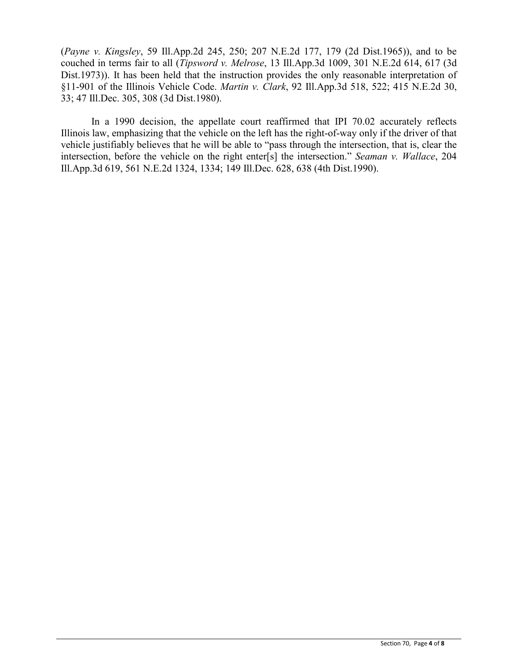(*Payne v. Kingsley*, 59 Ill.App.2d 245, 250; 207 N.E.2d 177, 179 (2d Dist.1965)), and to be couched in terms fair to all (*Tipsword v. Melrose*, 13 Ill.App.3d 1009, 301 N.E.2d 614, 617 (3d Dist.1973)). It has been held that the instruction provides the only reasonable interpretation of §11-901 of the Illinois Vehicle Code. *Martin v. Clark*, 92 Ill.App.3d 518, 522; 415 N.E.2d 30, 33; 47 Ill.Dec. 305, 308 (3d Dist.1980).

In a 1990 decision, the appellate court reaffirmed that IPI 70.02 accurately reflects Illinois law, emphasizing that the vehicle on the left has the right-of-way only if the driver of that vehicle justifiably believes that he will be able to "pass through the intersection, that is, clear the intersection, before the vehicle on the right enter[s] the intersection." *Seaman v. Wallace*, 204 Ill.App.3d 619, 561 N.E.2d 1324, 1334; 149 Ill.Dec. 628, 638 (4th Dist.1990).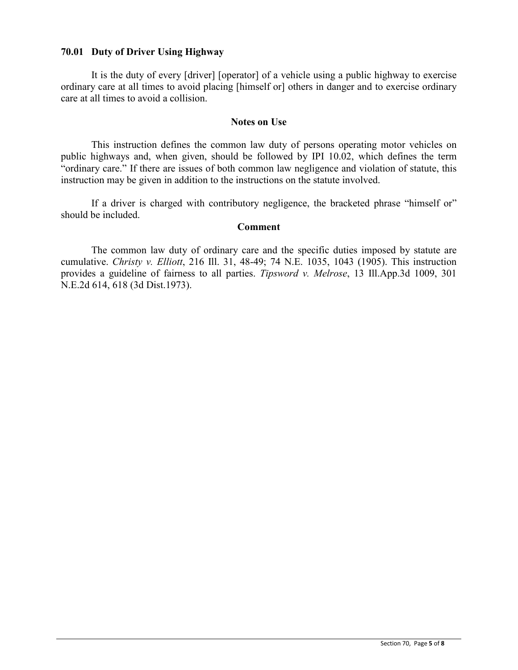## **70.01 Duty of Driver Using Highway**

It is the duty of every [driver] [operator] of a vehicle using a public highway to exercise ordinary care at all times to avoid placing [himself or] others in danger and to exercise ordinary care at all times to avoid a collision.

### **Notes on Use**

This instruction defines the common law duty of persons operating motor vehicles on public highways and, when given, should be followed by IPI 10.02, which defines the term "ordinary care." If there are issues of both common law negligence and violation of statute, this instruction may be given in addition to the instructions on the statute involved.

If a driver is charged with contributory negligence, the bracketed phrase "himself or" should be included.

#### **Comment**

The common law duty of ordinary care and the specific duties imposed by statute are cumulative. *Christy v. Elliott*, 216 Ill. 31, 48-49; 74 N.E. 1035, 1043 (1905). This instruction provides a guideline of fairness to all parties. *Tipsword v. Melrose*, 13 Ill.App.3d 1009, 301 N.E.2d 614, 618 (3d Dist.1973).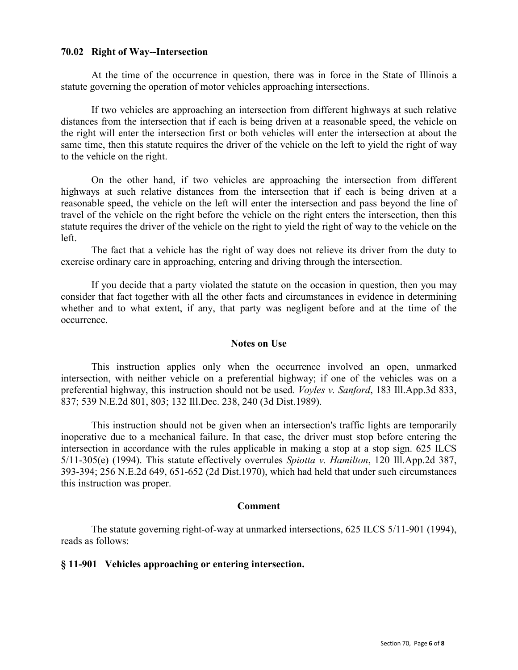## **70.02 Right of Way--Intersection**

At the time of the occurrence in question, there was in force in the State of Illinois a statute governing the operation of motor vehicles approaching intersections.

If two vehicles are approaching an intersection from different highways at such relative distances from the intersection that if each is being driven at a reasonable speed, the vehicle on the right will enter the intersection first or both vehicles will enter the intersection at about the same time, then this statute requires the driver of the vehicle on the left to yield the right of way to the vehicle on the right.

On the other hand, if two vehicles are approaching the intersection from different highways at such relative distances from the intersection that if each is being driven at a reasonable speed, the vehicle on the left will enter the intersection and pass beyond the line of travel of the vehicle on the right before the vehicle on the right enters the intersection, then this statute requires the driver of the vehicle on the right to yield the right of way to the vehicle on the left.

The fact that a vehicle has the right of way does not relieve its driver from the duty to exercise ordinary care in approaching, entering and driving through the intersection.

If you decide that a party violated the statute on the occasion in question, then you may consider that fact together with all the other facts and circumstances in evidence in determining whether and to what extent, if any, that party was negligent before and at the time of the occurrence.

### **Notes on Use**

This instruction applies only when the occurrence involved an open, unmarked intersection, with neither vehicle on a preferential highway; if one of the vehicles was on a preferential highway, this instruction should not be used. *Voyles v. Sanford*, 183 Ill.App.3d 833, 837; 539 N.E.2d 801, 803; 132 Ill.Dec. 238, 240 (3d Dist.1989).

This instruction should not be given when an intersection's traffic lights are temporarily inoperative due to a mechanical failure. In that case, the driver must stop before entering the intersection in accordance with the rules applicable in making a stop at a stop sign. 625 ILCS 5/11-305(e) (1994). This statute effectively overrules *Spiotta v. Hamilton*, 120 Ill.App.2d 387, 393-394; 256 N.E.2d 649, 651-652 (2d Dist.1970), which had held that under such circumstances this instruction was proper.

#### **Comment**

The statute governing right-of-way at unmarked intersections, 625 ILCS 5/11-901 (1994), reads as follows:

## **§ 11-901 Vehicles approaching or entering intersection.**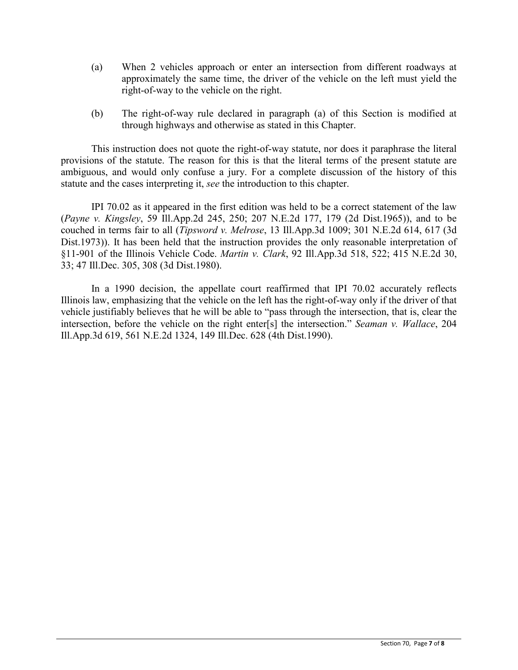- (a) When 2 vehicles approach or enter an intersection from different roadways at approximately the same time, the driver of the vehicle on the left must yield the right-of-way to the vehicle on the right.
- (b) The right-of-way rule declared in paragraph (a) of this Section is modified at through highways and otherwise as stated in this Chapter.

This instruction does not quote the right-of-way statute, nor does it paraphrase the literal provisions of the statute. The reason for this is that the literal terms of the present statute are ambiguous, and would only confuse a jury. For a complete discussion of the history of this statute and the cases interpreting it, *see* the introduction to this chapter.

IPI 70.02 as it appeared in the first edition was held to be a correct statement of the law (*Payne v. Kingsley*, 59 Ill.App.2d 245, 250; 207 N.E.2d 177, 179 (2d Dist.1965)), and to be couched in terms fair to all (*Tipsword v. Melrose*, 13 Ill.App.3d 1009; 301 N.E.2d 614, 617 (3d Dist.1973)). It has been held that the instruction provides the only reasonable interpretation of §11-901 of the Illinois Vehicle Code. *Martin v. Clark*, 92 Ill.App.3d 518, 522; 415 N.E.2d 30, 33; 47 Ill.Dec. 305, 308 (3d Dist.1980).

In a 1990 decision, the appellate court reaffirmed that IPI 70.02 accurately reflects Illinois law, emphasizing that the vehicle on the left has the right-of-way only if the driver of that vehicle justifiably believes that he will be able to "pass through the intersection, that is, clear the intersection, before the vehicle on the right enter[s] the intersection." *Seaman v. Wallace*, 204 Ill.App.3d 619, 561 N.E.2d 1324, 149 Ill.Dec. 628 (4th Dist.1990).